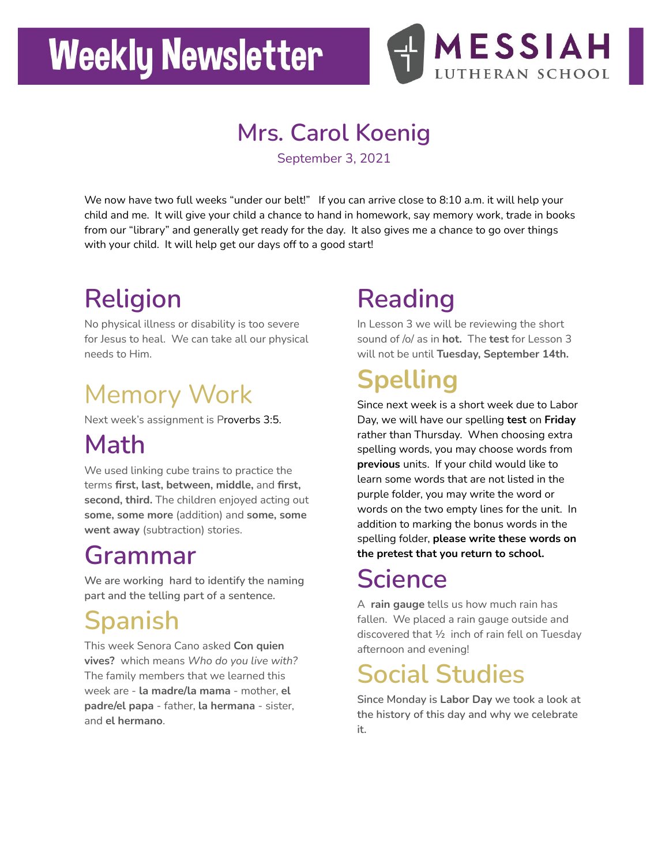# **Weekly Newsletter**



#### **Mrs. Carol Koenig**

September 3, 2021

We now have two full weeks "under our belt!" If you can arrive close to 8:10 a.m. it will help your child and me. It will give your child a chance to hand in homework, say memory work, trade in books from our "library" and generally get ready for the day. It also gives me a chance to go over things with your child. It will help get our days off to a good start!

# **Religion**

No physical illness or disability is too severe for Jesus to heal. We can take all our physical needs to Him.

## Memory Work

Next week's assignment is Proverbs 3:5.

## **Math**

We used linking cube trains to practice the terms **first, last, between, middle,** and **first, second, third.** The children enjoyed acting out **some, some more** (addition) and **some, some went away** (subtraction) stories.

#### **Grammar**

**We are working hard to identify the naming part and the telling part of a sentence.**

## **Spanish**

This week Senora Cano asked **Con quien vives?** which means *Who do you live with?* The family members that we learned this week are - **la madre/la mama** - mother, **el padre/el papa** - father, **la hermana** - sister, and **el hermano**.

## **Reading**

In Lesson 3 we will be reviewing the short sound of /o/ as in **hot.** The **test** for Lesson 3 will not be until **Tuesday, September 14th.**

## **Spelling**

Since next week is a short week due to Labor Day, we will have our spelling **test** on **Friday** rather than Thursday. When choosing extra spelling words, you may choose words from **previous** units. If your child would like to learn some words that are not listed in the purple folder, you may write the word or words on the two empty lines for the unit. In addition to marking the bonus words in the spelling folder, **please write these words on the pretest that you return to school.**

### **Science**

A **rain gauge** tells us how much rain has fallen. We placed a rain gauge outside and discovered that ½ inch of rain fell on Tuesday afternoon and evening!

### **Social Studies**

**Since Monday is Labor Day we took a look at the history of this day and why we celebrate it.**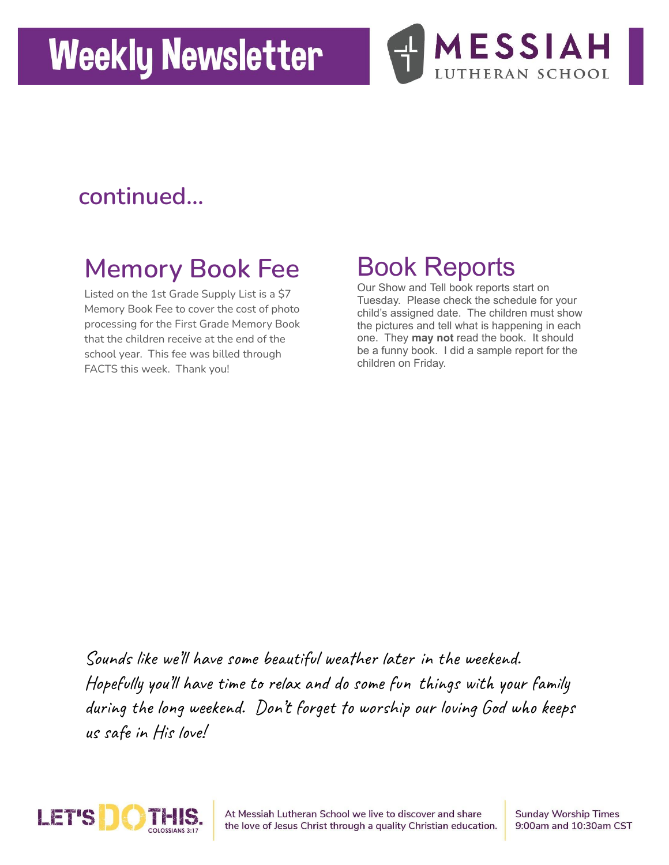# **Weekly Newsletter**



#### **continued...**

## **Memory Book Fee**

Listed on the 1st Grade Supply List is a \$7 Memory Book Fee to cover the cost of photo processing for the First Grade Memory Book that the children receive at the end of the school year. This fee was billed through FACTS this week. Thank you!

## Book Reports

Our Show and Tell book reports start on Tuesday. Please check the schedule for your child's assigned date. The children must show the pictures and tell what is happening in each one. They **may not** read the book. It should be a funny book. I did a sample report for the children on Friday.

Sounds like we'll have some beautiful weather later in the weekend. Hopefully you'll have time to relax and do some fun things with your family during the long weekend. Don't forget to worship our loving God who keeps us safe in His love!



At Messiah Lutheran School we live to discover and share the love of Jesus Christ through a quality Christian education. **Sunday Worship Times** 9:00am and 10:30am CST